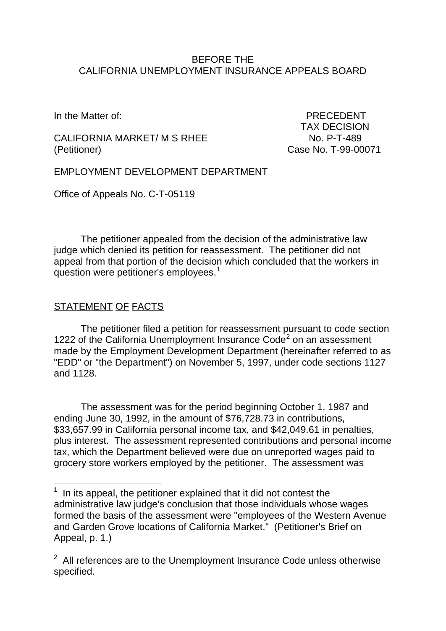#### BEFORE THE CALIFORNIA UNEMPLOYMENT INSURANCE APPEALS BOARD

CALIFORNIA MARKET/ M S RHEE No. P-T-489 (Petitioner) Case No. T-99-00071

In the Matter of: **PRECEDENT** TAX DECISION

EMPLOYMENT DEVELOPMENT DEPARTMENT

Office of Appeals No. C-T-05119

The petitioner appealed from the decision of the administrative law judge which denied its petition for reassessment. The petitioner did not appeal from that portion of the decision which concluded that the workers in question were petitioner's employees.<sup>[1](#page-0-0)</sup>

# STATEMENT OF FACTS

 $\overline{\phantom{a}}$ 

The petitioner filed a petition for reassessment pursuant to code section 1[2](#page-0-1)22 of the California Unemployment Insurance  $Code<sup>2</sup>$  on an assessment made by the Employment Development Department (hereinafter referred to as "EDD" or "the Department") on November 5, 1997, under code sections 1127 and 1128.

The assessment was for the period beginning October 1, 1987 and ending June 30, 1992, in the amount of \$76,728.73 in contributions, \$33,657.99 in California personal income tax, and \$42,049.61 in penalties, plus interest. The assessment represented contributions and personal income tax, which the Department believed were due on unreported wages paid to grocery store workers employed by the petitioner. The assessment was

<span id="page-0-0"></span> $<sup>1</sup>$  In its appeal, the petitioner explained that it did not contest the</sup> administrative law judge's conclusion that those individuals whose wages formed the basis of the assessment were "employees of the Western Avenue and Garden Grove locations of California Market." (Petitioner's Brief on Appeal, p. 1.)

<span id="page-0-1"></span> $2$  All references are to the Unemployment Insurance Code unless otherwise specified.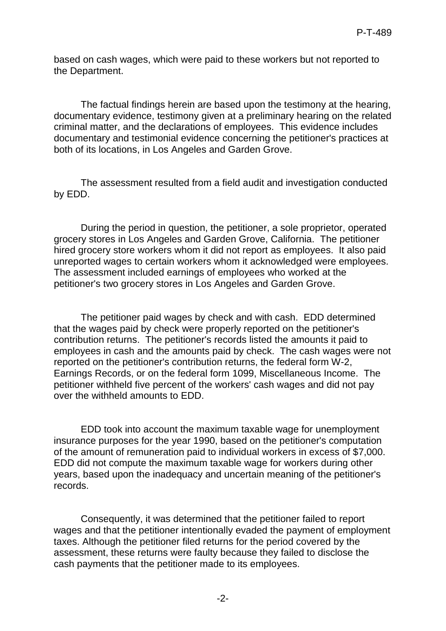based on cash wages, which were paid to these workers but not reported to the Department.

The factual findings herein are based upon the testimony at the hearing, documentary evidence, testimony given at a preliminary hearing on the related criminal matter, and the declarations of employees. This evidence includes documentary and testimonial evidence concerning the petitioner's practices at both of its locations, in Los Angeles and Garden Grove.

The assessment resulted from a field audit and investigation conducted by EDD.

During the period in question, the petitioner, a sole proprietor, operated grocery stores in Los Angeles and Garden Grove, California. The petitioner hired grocery store workers whom it did not report as employees. It also paid unreported wages to certain workers whom it acknowledged were employees. The assessment included earnings of employees who worked at the petitioner's two grocery stores in Los Angeles and Garden Grove.

The petitioner paid wages by check and with cash. EDD determined that the wages paid by check were properly reported on the petitioner's contribution returns. The petitioner's records listed the amounts it paid to employees in cash and the amounts paid by check. The cash wages were not reported on the petitioner's contribution returns, the federal form W-2, Earnings Records, or on the federal form 1099, Miscellaneous Income. The petitioner withheld five percent of the workers' cash wages and did not pay over the withheld amounts to EDD.

EDD took into account the maximum taxable wage for unemployment insurance purposes for the year 1990, based on the petitioner's computation of the amount of remuneration paid to individual workers in excess of \$7,000. EDD did not compute the maximum taxable wage for workers during other years, based upon the inadequacy and uncertain meaning of the petitioner's records.

Consequently, it was determined that the petitioner failed to report wages and that the petitioner intentionally evaded the payment of employment taxes. Although the petitioner filed returns for the period covered by the assessment, these returns were faulty because they failed to disclose the cash payments that the petitioner made to its employees.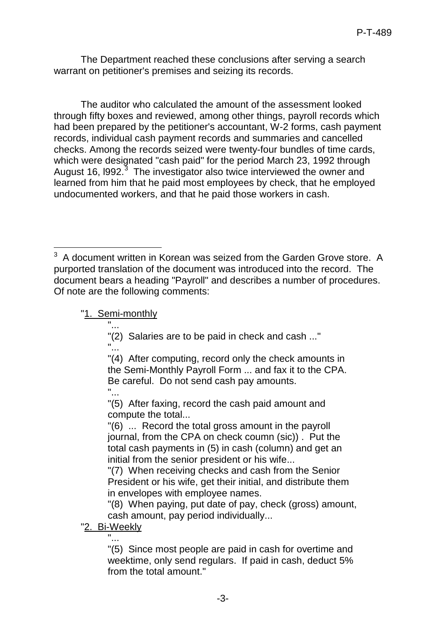The Department reached these conclusions after serving a search warrant on petitioner's premises and seizing its records.

The auditor who calculated the amount of the assessment looked through fifty boxes and reviewed, among other things, payroll records which had been prepared by the petitioner's accountant, W-2 forms, cash payment records, individual cash payment records and summaries and cancelled checks. Among the records seized were twenty-four bundles of time cards, which were designated "cash paid" for the period March 23, 1992 through August 16, I992.<sup>[3](#page-2-0)</sup> The investigator also twice interviewed the owner and learned from him that he paid most employees by check, that he employed undocumented workers, and that he paid those workers in cash.

#### "1. Semi-monthly "...

"(2) Salaries are to be paid in check and cash ..." "...

"(4) After computing, record only the check amounts in the Semi-Monthly Payroll Form ... and fax it to the CPA. Be careful. Do not send cash pay amounts.

"...

"(5) After faxing, record the cash paid amount and compute the total...

"(6) ... Record the total gross amount in the payroll journal, from the CPA on check coumn (sic)) . Put the total cash payments in (5) in cash (column) and get an initial from the senior president or his wife...

"(7) When receiving checks and cash from the Senior President or his wife, get their initial, and distribute them in envelopes with employee names.

"(8) When paying, put date of pay, check (gross) amount, cash amount, pay period individually...

### "2. Bi-Weekly

"...

"(5) Since most people are paid in cash for overtime and weektime, only send regulars. If paid in cash, deduct 5% from the total amount."

<span id="page-2-0"></span> $\overline{\phantom{a}}$  $3$  A document written in Korean was seized from the Garden Grove store. A purported translation of the document was introduced into the record. The document bears a heading "Payroll" and describes a number of procedures. Of note are the following comments: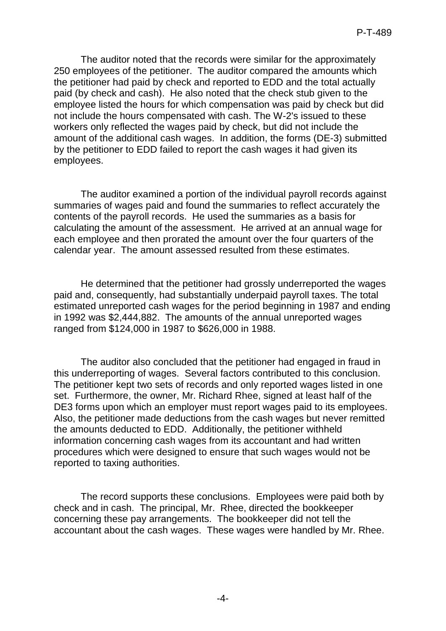The auditor noted that the records were similar for the approximately 250 employees of the petitioner. The auditor compared the amounts which the petitioner had paid by check and reported to EDD and the total actually paid (by check and cash). He also noted that the check stub given to the employee listed the hours for which compensation was paid by check but did not include the hours compensated with cash. The W-2's issued to these workers only reflected the wages paid by check, but did not include the amount of the additional cash wages. In addition, the forms (DE-3) submitted by the petitioner to EDD failed to report the cash wages it had given its employees.

The auditor examined a portion of the individual payroll records against summaries of wages paid and found the summaries to reflect accurately the contents of the payroll records. He used the summaries as a basis for calculating the amount of the assessment. He arrived at an annual wage for each employee and then prorated the amount over the four quarters of the calendar year. The amount assessed resulted from these estimates.

He determined that the petitioner had grossly underreported the wages paid and, consequently, had substantially underpaid payroll taxes. The total estimated unreported cash wages for the period beginning in 1987 and ending in 1992 was \$2,444,882. The amounts of the annual unreported wages ranged from \$124,000 in 1987 to \$626,000 in 1988.

The auditor also concluded that the petitioner had engaged in fraud in this underreporting of wages. Several factors contributed to this conclusion. The petitioner kept two sets of records and only reported wages listed in one set. Furthermore, the owner, Mr. Richard Rhee, signed at least half of the DE3 forms upon which an employer must report wages paid to its employees. Also, the petitioner made deductions from the cash wages but never remitted the amounts deducted to EDD. Additionally, the petitioner withheld information concerning cash wages from its accountant and had written procedures which were designed to ensure that such wages would not be reported to taxing authorities.

The record supports these conclusions. Employees were paid both by check and in cash. The principal, Mr. Rhee, directed the bookkeeper concerning these pay arrangements. The bookkeeper did not tell the accountant about the cash wages. These wages were handled by Mr. Rhee.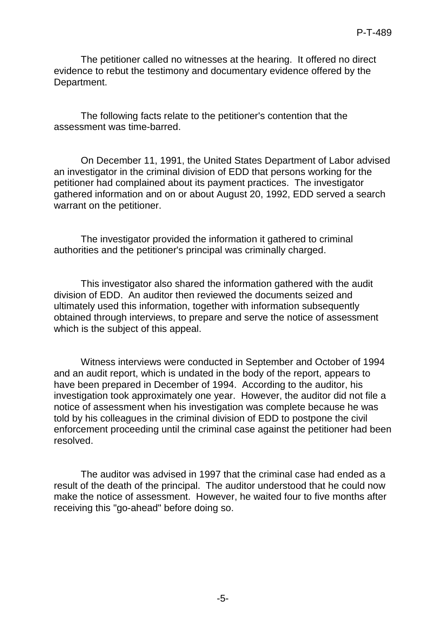The petitioner called no witnesses at the hearing. It offered no direct evidence to rebut the testimony and documentary evidence offered by the Department.

The following facts relate to the petitioner's contention that the assessment was time-barred.

On December 11, 1991, the United States Department of Labor advised an investigator in the criminal division of EDD that persons working for the petitioner had complained about its payment practices. The investigator gathered information and on or about August 20, 1992, EDD served a search warrant on the petitioner.

The investigator provided the information it gathered to criminal authorities and the petitioner's principal was criminally charged.

This investigator also shared the information gathered with the audit division of EDD. An auditor then reviewed the documents seized and ultimately used this information, together with information subsequently obtained through interviews, to prepare and serve the notice of assessment which is the subject of this appeal.

Witness interviews were conducted in September and October of 1994 and an audit report, which is undated in the body of the report, appears to have been prepared in December of 1994. According to the auditor, his investigation took approximately one year. However, the auditor did not file a notice of assessment when his investigation was complete because he was told by his colleagues in the criminal division of EDD to postpone the civil enforcement proceeding until the criminal case against the petitioner had been resolved.

The auditor was advised in 1997 that the criminal case had ended as a result of the death of the principal. The auditor understood that he could now make the notice of assessment. However, he waited four to five months after receiving this "go-ahead" before doing so.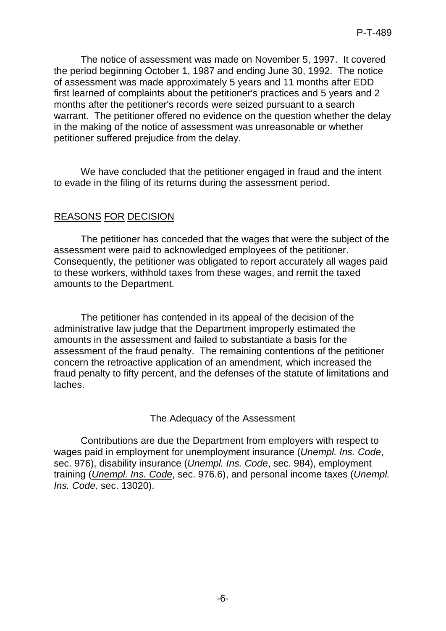The notice of assessment was made on November 5, 1997. It covered the period beginning October 1, 1987 and ending June 30, 1992. The notice of assessment was made approximately 5 years and 11 months after EDD first learned of complaints about the petitioner's practices and 5 years and 2 months after the petitioner's records were seized pursuant to a search warrant. The petitioner offered no evidence on the question whether the delay in the making of the notice of assessment was unreasonable or whether petitioner suffered prejudice from the delay.

We have concluded that the petitioner engaged in fraud and the intent to evade in the filing of its returns during the assessment period.

# REASONS FOR DECISION

The petitioner has conceded that the wages that were the subject of the assessment were paid to acknowledged employees of the petitioner. Consequently, the petitioner was obligated to report accurately all wages paid to these workers, withhold taxes from these wages, and remit the taxed amounts to the Department.

The petitioner has contended in its appeal of the decision of the administrative law judge that the Department improperly estimated the amounts in the assessment and failed to substantiate a basis for the assessment of the fraud penalty. The remaining contentions of the petitioner concern the retroactive application of an amendment, which increased the fraud penalty to fifty percent, and the defenses of the statute of limitations and laches.

# The Adequacy of the Assessment

Contributions are due the Department from employers with respect to wages paid in employment for unemployment insurance (*Unempl. Ins. Code*, sec. 976), disability insurance (*Unempl. Ins. Code*, sec. 984), employment training (*Unempl. Ins. Code*, sec. 976.6), and personal income taxes (*Unempl. Ins. Code*, sec. 13020).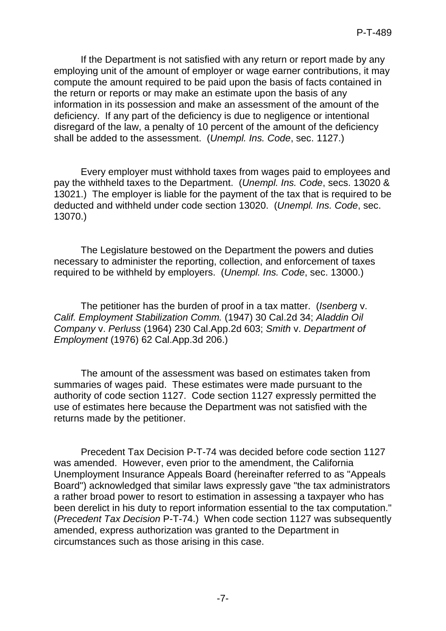If the Department is not satisfied with any return or report made by any employing unit of the amount of employer or wage earner contributions, it may compute the amount required to be paid upon the basis of facts contained in the return or reports or may make an estimate upon the basis of any information in its possession and make an assessment of the amount of the deficiency. If any part of the deficiency is due to negligence or intentional disregard of the law, a penalty of 10 percent of the amount of the deficiency shall be added to the assessment. (*Unempl. Ins. Code*, sec. 1127.)

Every employer must withhold taxes from wages paid to employees and pay the withheld taxes to the Department. (*Unempl. Ins. Code*, secs. 13020 & 13021.) The employer is liable for the payment of the tax that is required to be deducted and withheld under code section 13020. (*Unempl. Ins. Code*, sec. 13070.)

The Legislature bestowed on the Department the powers and duties necessary to administer the reporting, collection, and enforcement of taxes required to be withheld by employers. (*Unempl. Ins. Code*, sec. 13000.)

The petitioner has the burden of proof in a tax matter. (*Isenberg* v. *Calif. Employment Stabilization Comm.* (1947) 30 Cal.2d 34; *Aladdin Oil Company* v. *Perluss* (1964) 230 Cal.App.2d 603; *Smith* v. *Department of Employment* (1976) 62 Cal.App.3d 206.)

The amount of the assessment was based on estimates taken from summaries of wages paid. These estimates were made pursuant to the authority of code section 1127. Code section 1127 expressly permitted the use of estimates here because the Department was not satisfied with the returns made by the petitioner.

Precedent Tax Decision P-T-74 was decided before code section 1127 was amended. However, even prior to the amendment, the California Unemployment Insurance Appeals Board (hereinafter referred to as "Appeals Board") acknowledged that similar laws expressly gave "the tax administrators a rather broad power to resort to estimation in assessing a taxpayer who has been derelict in his duty to report information essential to the tax computation." (*Precedent Tax Decision* P-T-74.) When code section 1127 was subsequently amended, express authorization was granted to the Department in circumstances such as those arising in this case.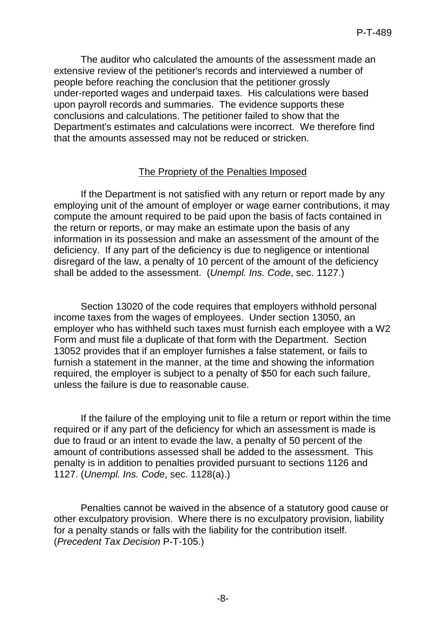The auditor who calculated the amounts of the assessment made an extensive review of the petitioner's records and interviewed a number of people before reaching the conclusion that the petitioner grossly under-reported wages and underpaid taxes. His calculations were based upon payroll records and summaries. The evidence supports these conclusions and calculations. The petitioner failed to show that the Department's estimates and calculations were incorrect. We therefore find that the amounts assessed may not be reduced or stricken.

#### The Propriety of the Penalties Imposed

If the Department is not satisfied with any return or report made by any employing unit of the amount of employer or wage earner contributions, it may compute the amount required to be paid upon the basis of facts contained in the return or reports, or may make an estimate upon the basis of any information in its possession and make an assessment of the amount of the deficiency. If any part of the deficiency is due to negligence or intentional disregard of the law, a penalty of 10 percent of the amount of the deficiency shall be added to the assessment. (*Unempl. Ins. Code*, sec. 1127.)

Section 13020 of the code requires that employers withhold personal income taxes from the wages of employees. Under section 13050, an employer who has withheld such taxes must furnish each employee with a W2 Form and must file a duplicate of that form with the Department. Section 13052 provides that if an employer furnishes a false statement, or fails to furnish a statement in the manner, at the time and showing the information required, the employer is subject to a penalty of \$50 for each such failure, unless the failure is due to reasonable cause.

If the failure of the employing unit to file a return or report within the time required or if any part of the deficiency for which an assessment is made is due to fraud or an intent to evade the law, a penalty of 50 percent of the amount of contributions assessed shall be added to the assessment. This penalty is in addition to penalties provided pursuant to sections 1126 and 1127. (*Unempl. Ins. Code*, sec. 1128(a).)

Penalties cannot be waived in the absence of a statutory good cause or other exculpatory provision. Where there is no exculpatory provision, liability for a penalty stands or falls with the liability for the contribution itself. (*Precedent Tax Decision* P-T-105.)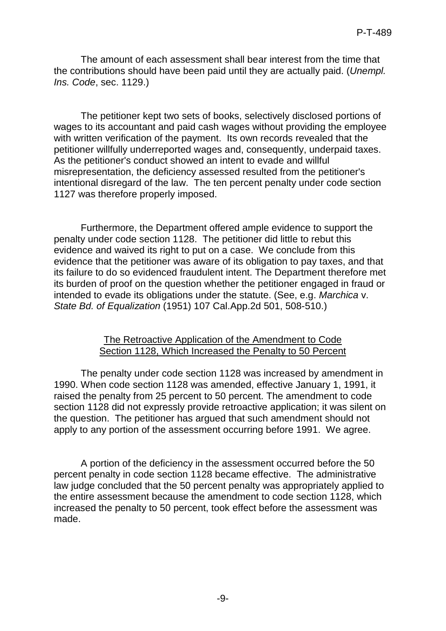The amount of each assessment shall bear interest from the time that the contributions should have been paid until they are actually paid. (*Unempl. Ins. Code*, sec. 1129.)

The petitioner kept two sets of books, selectively disclosed portions of wages to its accountant and paid cash wages without providing the employee with written verification of the payment. Its own records revealed that the petitioner willfully underreported wages and, consequently, underpaid taxes. As the petitioner's conduct showed an intent to evade and willful misrepresentation, the deficiency assessed resulted from the petitioner's intentional disregard of the law. The ten percent penalty under code section 1127 was therefore properly imposed.

Furthermore, the Department offered ample evidence to support the penalty under code section 1128. The petitioner did little to rebut this evidence and waived its right to put on a case. We conclude from this evidence that the petitioner was aware of its obligation to pay taxes, and that its failure to do so evidenced fraudulent intent. The Department therefore met its burden of proof on the question whether the petitioner engaged in fraud or intended to evade its obligations under the statute. (See, e.g. *Marchica* v. *State Bd. of Equalization* (1951) 107 Cal.App.2d 501, 508-510.)

#### The Retroactive Application of the Amendment to Code Section 1128, Which Increased the Penalty to 50 Percent

The penalty under code section 1128 was increased by amendment in 1990. When code section 1128 was amended, effective January 1, 1991, it raised the penalty from 25 percent to 50 percent. The amendment to code section 1128 did not expressly provide retroactive application; it was silent on the question. The petitioner has argued that such amendment should not apply to any portion of the assessment occurring before 1991. We agree.

A portion of the deficiency in the assessment occurred before the 50 percent penalty in code section 1128 became effective. The administrative law judge concluded that the 50 percent penalty was appropriately applied to the entire assessment because the amendment to code section 1128, which increased the penalty to 50 percent, took effect before the assessment was made.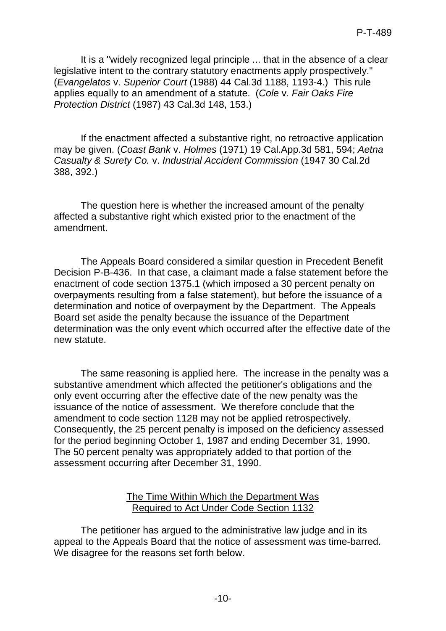It is a "widely recognized legal principle ... that in the absence of a clear legislative intent to the contrary statutory enactments apply prospectively." (*Evangelatos* v. *Superior Court* (1988) 44 Cal.3d 1188, 1193-4.) This rule applies equally to an amendment of a statute. (*Cole* v. *Fair Oaks Fire Protection District* (1987) 43 Cal.3d 148, 153.)

If the enactment affected a substantive right, no retroactive application may be given. (*Coast Bank* v. *Holmes* (1971) 19 Cal.App.3d 581, 594; *Aetna Casualty & Surety Co.* v. *Industrial Accident Commission* (1947 30 Cal.2d 388, 392.)

The question here is whether the increased amount of the penalty affected a substantive right which existed prior to the enactment of the amendment.

The Appeals Board considered a similar question in Precedent Benefit Decision P-B-436. In that case, a claimant made a false statement before the enactment of code section 1375.1 (which imposed a 30 percent penalty on overpayments resulting from a false statement), but before the issuance of a determination and notice of overpayment by the Department. The Appeals Board set aside the penalty because the issuance of the Department determination was the only event which occurred after the effective date of the new statute.

The same reasoning is applied here. The increase in the penalty was a substantive amendment which affected the petitioner's obligations and the only event occurring after the effective date of the new penalty was the issuance of the notice of assessment. We therefore conclude that the amendment to code section 1128 may not be applied retrospectively. Consequently, the 25 percent penalty is imposed on the deficiency assessed for the period beginning October 1, 1987 and ending December 31, 1990. The 50 percent penalty was appropriately added to that portion of the assessment occurring after December 31, 1990.

#### The Time Within Which the Department Was Required to Act Under Code Section 1132

The petitioner has argued to the administrative law judge and in its appeal to the Appeals Board that the notice of assessment was time-barred. We disagree for the reasons set forth below.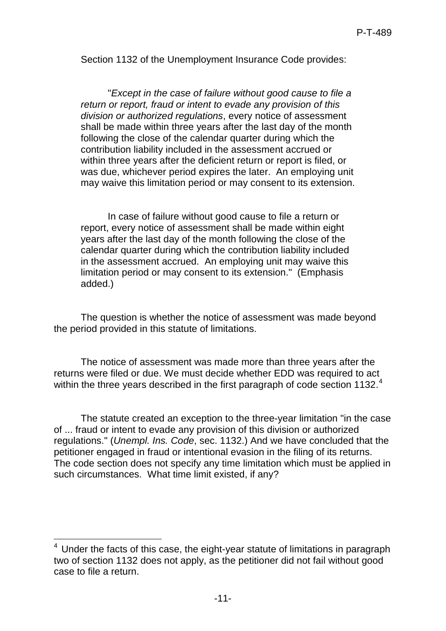Section 1132 of the Unemployment Insurance Code provides:

"*Except in the case of failure without good cause to file a return or report, fraud or intent to evade any provision of this division or authorized regulations*, every notice of assessment shall be made within three years after the last day of the month following the close of the calendar quarter during which the contribution liability included in the assessment accrued or within three years after the deficient return or report is filed, or was due, whichever period expires the later. An employing unit may waive this limitation period or may consent to its extension.

In case of failure without good cause to file a return or report, every notice of assessment shall be made within eight years after the last day of the month following the close of the calendar quarter during which the contribution liability included in the assessment accrued. An employing unit may waive this limitation period or may consent to its extension." (Emphasis added.)

The question is whether the notice of assessment was made beyond the period provided in this statute of limitations.

The notice of assessment was made more than three years after the returns were filed or due. We must decide whether EDD was required to act within the three years described in the first paragraph of code section 1132. $4$ 

The statute created an exception to the three-year limitation "in the case of ... fraud or intent to evade any provision of this division or authorized regulations." (*Unempl. Ins. Code*, sec. 1132.) And we have concluded that the petitioner engaged in fraud or intentional evasion in the filing of its returns. The code section does not specify any time limitation which must be applied in such circumstances. What time limit existed, if any?

<span id="page-10-0"></span> 4 Under the facts of this case, the eight-year statute of limitations in paragraph two of section 1132 does not apply, as the petitioner did not fail without good case to file a return.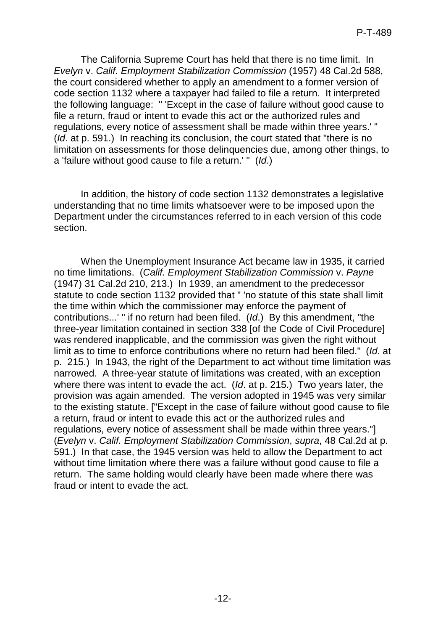The California Supreme Court has held that there is no time limit. In *Evelyn* v. *Calif. Employment Stabilization Commission* (1957) 48 Cal.2d 588, the court considered whether to apply an amendment to a former version of code section 1132 where a taxpayer had failed to file a return. It interpreted the following language: " 'Except in the case of failure without good cause to file a return, fraud or intent to evade this act or the authorized rules and regulations, every notice of assessment shall be made within three years.' " (*Id*. at p. 591.) In reaching its conclusion, the court stated that "there is no limitation on assessments for those delinquencies due, among other things, to a 'failure without good cause to file a return.' " (*Id*.)

In addition, the history of code section 1132 demonstrates a legislative understanding that no time limits whatsoever were to be imposed upon the Department under the circumstances referred to in each version of this code section.

When the Unemployment Insurance Act became law in 1935, it carried no time limitations. (*Calif. Employment Stabilization Commission* v. *Payne* (1947) 31 Cal.2d 210, 213.) In 1939, an amendment to the predecessor statute to code section 1132 provided that " 'no statute of this state shall limit the time within which the commissioner may enforce the payment of contributions...' " if no return had been filed. (*Id*.) By this amendment, "the three-year limitation contained in section 338 [of the Code of Civil Procedure] was rendered inapplicable, and the commission was given the right without limit as to time to enforce contributions where no return had been filed." (*Id*. at p. 215.) In 1943, the right of the Department to act without time limitation was narrowed. A three-year statute of limitations was created, with an exception where there was intent to evade the act. (*Id*. at p. 215.) Two years later, the provision was again amended. The version adopted in 1945 was very similar to the existing statute. ["Except in the case of failure without good cause to file a return, fraud or intent to evade this act or the authorized rules and regulations, every notice of assessment shall be made within three years."] (*Evelyn* v. *Calif. Employment Stabilization Commission*, *supra*, 48 Cal.2d at p. 591.) In that case, the 1945 version was held to allow the Department to act without time limitation where there was a failure without good cause to file a return. The same holding would clearly have been made where there was fraud or intent to evade the act.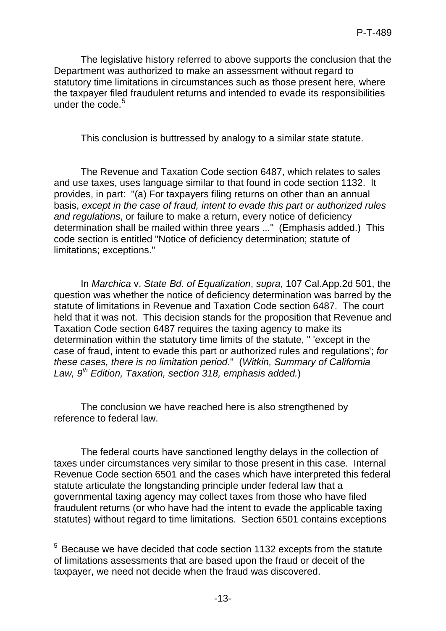The legislative history referred to above supports the conclusion that the Department was authorized to make an assessment without regard to statutory time limitations in circumstances such as those present here, where the taxpayer filed fraudulent returns and intended to evade its responsibilities under the code  $5$ 

This conclusion is buttressed by analogy to a similar state statute.

The Revenue and Taxation Code section 6487, which relates to sales and use taxes, uses language similar to that found in code section 1132. It provides, in part: "(a) For taxpayers filing returns on other than an annual basis, *except in the case of fraud, intent to evade this part or authorized rules and regulations*, or failure to make a return, every notice of deficiency determination shall be mailed within three years ..." (Emphasis added.) This code section is entitled "Notice of deficiency determination; statute of limitations; exceptions."

In *Marchica* v. *State Bd. of Equalization*, *supra*, 107 Cal.App.2d 501, the question was whether the notice of deficiency determination was barred by the statute of limitations in Revenue and Taxation Code section 6487. The court held that it was not. This decision stands for the proposition that Revenue and Taxation Code section 6487 requires the taxing agency to make its determination within the statutory time limits of the statute, " 'except in the case of fraud, intent to evade this part or authorized rules and regulations'; *for these cases, there is no limitation period*." (*Witkin, Summary of California Law, 9th Edition, Taxation, section 318, emphasis added.*)

The conclusion we have reached here is also strengthened by reference to federal law.

The federal courts have sanctioned lengthy delays in the collection of taxes under circumstances very similar to those present in this case. Internal Revenue Code section 6501 and the cases which have interpreted this federal statute articulate the longstanding principle under federal law that a governmental taxing agency may collect taxes from those who have filed fraudulent returns (or who have had the intent to evade the applicable taxing statutes) without regard to time limitations. Section 6501 contains exceptions

<span id="page-12-0"></span> 5 Because we have decided that code section 1132 excepts from the statute of limitations assessments that are based upon the fraud or deceit of the taxpayer, we need not decide when the fraud was discovered.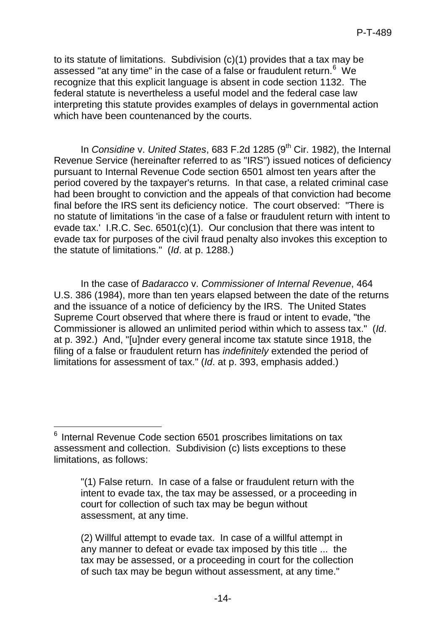to its statute of limitations. Subdivision (c)(1) provides that a tax may be assessed "at any time" in the case of a false or fraudulent return.<sup>[6](#page-13-0)</sup> We recognize that this explicit language is absent in code section 1132. The federal statute is nevertheless a useful model and the federal case law interpreting this statute provides examples of delays in governmental action which have been countenanced by the courts.

In *Considine* v. *United States*, 683 F.2d 1285 (9<sup>th</sup> Cir. 1982), the Internal Revenue Service (hereinafter referred to as "IRS") issued notices of deficiency pursuant to Internal Revenue Code section 6501 almost ten years after the period covered by the taxpayer's returns. In that case, a related criminal case had been brought to conviction and the appeals of that conviction had become final before the IRS sent its deficiency notice. The court observed: "There is no statute of limitations 'in the case of a false or fraudulent return with intent to evade tax.' I.R.C. Sec. 6501(c)(1). Our conclusion that there was intent to evade tax for purposes of the civil fraud penalty also invokes this exception to the statute of limitations." (*Id*. at p. 1288.)

In the case of *Badaracco* v. *Commissioner of Internal Revenue*, 464 U.S. 386 (1984), more than ten years elapsed between the date of the returns and the issuance of a notice of deficiency by the IRS. The United States Supreme Court observed that where there is fraud or intent to evade, "the Commissioner is allowed an unlimited period within which to assess tax." (*Id*. at p. 392.) And, "[u]nder every general income tax statute since 1918, the filing of a false or fraudulent return has *indefinitely* extended the period of limitations for assessment of tax." (*Id*. at p. 393, emphasis added.)

<span id="page-13-0"></span><sup>-</sup><sup>6</sup> Internal Revenue Code section 6501 proscribes limitations on tax assessment and collection. Subdivision (c) lists exceptions to these limitations, as follows:

<sup>&</sup>quot;(1) False return. In case of a false or fraudulent return with the intent to evade tax, the tax may be assessed, or a proceeding in court for collection of such tax may be begun without assessment, at any time.

<sup>(2)</sup> Willful attempt to evade tax. In case of a willful attempt in any manner to defeat or evade tax imposed by this title ... the tax may be assessed, or a proceeding in court for the collection of such tax may be begun without assessment, at any time."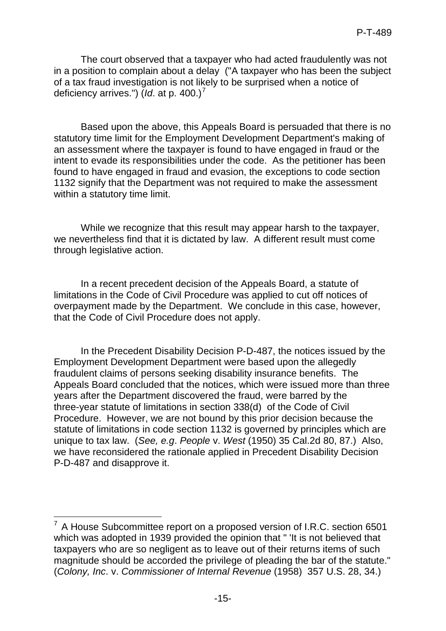The court observed that a taxpayer who had acted fraudulently was not in a position to complain about a delay ("A taxpayer who has been the subject of a tax fraud investigation is not likely to be surprised when a notice of deficiency arrives.") (*Id*. at p. 400.) [7](#page-14-0)

Based upon the above, this Appeals Board is persuaded that there is no statutory time limit for the Employment Development Department's making of an assessment where the taxpayer is found to have engaged in fraud or the intent to evade its responsibilities under the code. As the petitioner has been found to have engaged in fraud and evasion, the exceptions to code section 1132 signify that the Department was not required to make the assessment within a statutory time limit.

While we recognize that this result may appear harsh to the taxpayer, we nevertheless find that it is dictated by law. A different result must come through legislative action.

In a recent precedent decision of the Appeals Board, a statute of limitations in the Code of Civil Procedure was applied to cut off notices of overpayment made by the Department. We conclude in this case, however, that the Code of Civil Procedure does not apply.

In the Precedent Disability Decision P-D-487, the notices issued by the Employment Development Department were based upon the allegedly fraudulent claims of persons seeking disability insurance benefits. The Appeals Board concluded that the notices, which were issued more than three years after the Department discovered the fraud, were barred by the three-year statute of limitations in section 338(d) of the Code of Civil Procedure. However, we are not bound by this prior decision because the statute of limitations in code section 1132 is governed by principles which are unique to tax law. (*See, e.g*. *People* v. *West* (1950) 35 Cal.2d 80, 87.) Also, we have reconsidered the rationale applied in Precedent Disability Decision P-D-487 and disapprove it.

<span id="page-14-0"></span> 7 A House Subcommittee report on a proposed version of I.R.C. section 6501 which was adopted in 1939 provided the opinion that " 'It is not believed that taxpayers who are so negligent as to leave out of their returns items of such magnitude should be accorded the privilege of pleading the bar of the statute." (*Colony, Inc*. v. *Commissioner of Internal Revenue* (1958) 357 U.S. 28, 34.)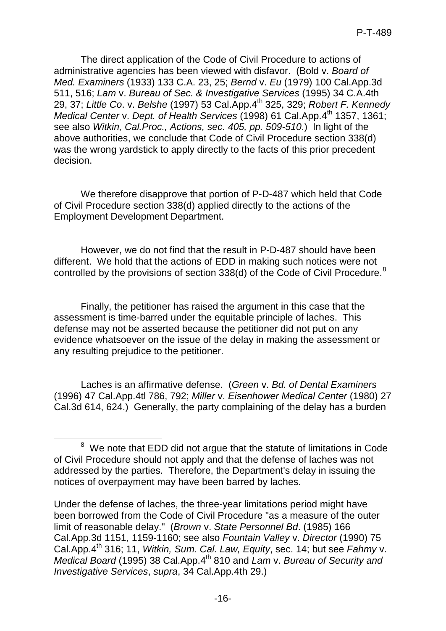The direct application of the Code of Civil Procedure to actions of administrative agencies has been viewed with disfavor. (Bold v. *Board of Med. Examiners* (1933) 133 C.A. 23, 25; *Bernd* v. *Eu* (1979) 100 Cal.App.3d 511, 516; *Lam* v. *Bureau of Sec. & Investigative Services* (1995) 34 C.A.4th 29, 37; *Little Co*. v. *Belshe* (1997) 53 Cal.App.4th 325, 329; *Robert F. Kennedy Medical Center* v. *Dept. of Health Services* (1998) 61 Cal.App.4<sup>th</sup> 1357, 1361; see also *Witkin, Cal.Proc., Actions, sec. 405, pp. 509-510*.) In light of the above authorities, we conclude that Code of Civil Procedure section 338(d) was the wrong yardstick to apply directly to the facts of this prior precedent decision.

We therefore disapprove that portion of P-D-487 which held that Code of Civil Procedure section 338(d) applied directly to the actions of the Employment Development Department.

However, we do not find that the result in P-D-487 should have been different. We hold that the actions of EDD in making such notices were not controlled by the provisions of section 33[8](#page-15-0)(d) of the Code of Civil Procedure.<sup>8</sup>

Finally, the petitioner has raised the argument in this case that the assessment is time-barred under the equitable principle of laches. This defense may not be asserted because the petitioner did not put on any evidence whatsoever on the issue of the delay in making the assessment or any resulting prejudice to the petitioner.

Laches is an affirmative defense. (*Green* v. *Bd. of Dental Examiners* (1996) 47 Cal.App.4tl 786, 792; *Miller* v. *Eisenhower Medical Center* (1980) 27 Cal.3d 614, 624.) Generally, the party complaining of the delay has a burden

<span id="page-15-0"></span><sup>&</sup>lt;sup>8</sup> We note that EDD did not argue that the statute of limitations in Code of Civil Procedure should not apply and that the defense of laches was not addressed by the parties. Therefore, the Department's delay in issuing the notices of overpayment may have been barred by laches.

Under the defense of laches, the three-year limitations period might have been borrowed from the Code of Civil Procedure "as a measure of the outer limit of reasonable delay." (*Brown* v. *State Personnel Bd*. (1985) 166 Cal.App.3d 1151, 1159-1160; see also *Fountain Valley* v. *Director* (1990) 75 Cal.App.4th 316; 11, *Witkin, Sum. Cal. Law, Equity*, sec. 14; but see *Fahmy* v. *Medical Board* (1995) 38 Cal.App.4th 810 and *Lam* v. *Bureau of Security and Investigative Services*, *supra*, 34 Cal.App.4th 29.)